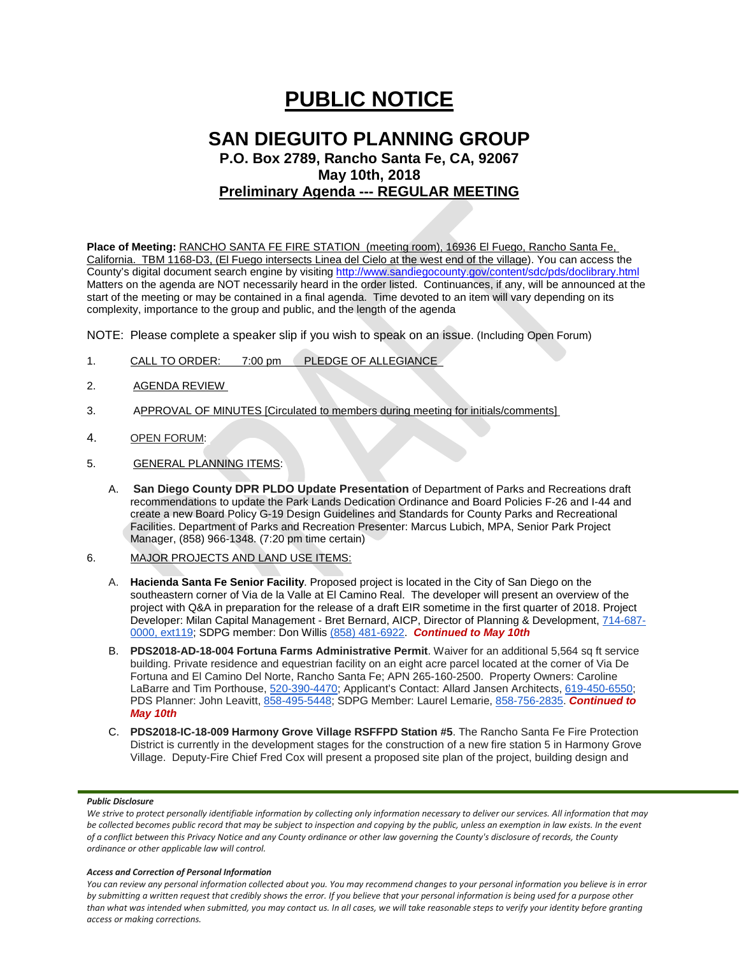# **PUBLIC NOTICE**

## **SAN DIEGUITO PLANNING GROUP P.O. Box 2789, Rancho Santa Fe, CA, 92067 May 10th, 2018 Preliminary Agenda --- REGULAR MEETING**

**Place of Meeting:** RANCHO SANTA FE FIRE STATION (meeting room), 16936 El Fuego, Rancho Santa Fe, California. TBM 1168-D3, (El Fuego intersects Linea del Cielo at the west end of the village). You can access the County's digital document search engine by visitin[g http://www.sandiegocounty.gov/content/sdc/pds/doclibrary.html](http://www.sandiegocounty.gov/content/sdc/pds/doclibrary.html) Matters on the agenda are NOT necessarily heard in the order listed. Continuances, if any, will be announced at the start of the meeting or may be contained in a final agenda. Time devoted to an item will vary depending on its complexity, importance to the group and public, and the length of the agenda

NOTE: Please complete a speaker slip if you wish to speak on an issue. (Including Open Forum)

- 1. CALL TO ORDER: 7:00 pm PLEDGE OF ALLEGIANCE
- 2. AGENDA REVIEW
- 3. APPROVAL OF MINUTES [Circulated to members during meeting for initials/comments]
- 4. OPEN FORUM:
- 5. GENERAL PLANNING ITEMS:
	- A. **San Diego County DPR PLDO Update Presentation** of Department of Parks and Recreations draft recommendations to update the Park Lands Dedication Ordinance and Board Policies F-26 and I-44 and create a new Board Policy G-19 Design Guidelines and Standards for County Parks and Recreational Facilities. Department of Parks and Recreation Presenter: Marcus Lubich, MPA, Senior Park Project Manager, (858) 966-1348. (7:20 pm time certain)
- 6. MAJOR PROJECTS AND LAND USE ITEMS:
	- A. **Hacienda Santa Fe Senior Facility**. Proposed project is located in the City of San Diego on the southeastern corner of Via de la Valle at El Camino Real. The developer will present an overview of the project with Q&A in preparation for the release of a draft EIR sometime in the first quarter of 2018. Project Developer: Milan Capital Management - Bret Bernard, AICP, Director of Planning & Development, [714-687-](tel:(714)%20687-0000) [0000, ext119;](tel:(714)%20687-0000) SDPG member: Don Willis [\(858\) 481-6922.](tel:(858)%20481-6922) *Continued to May 10th*
	- B. **PDS2018-AD-18-004 Fortuna Farms Administrative Permit**. Waiver for an additional 5,564 sq ft service building. Private residence and equestrian facility on an eight acre parcel located at the corner of Via De Fortuna and El Camino Del Norte, Rancho Santa Fe; APN 265-160-2500. Property Owners: Caroline LaBarre and Tim Porthouse, [520-390-4470;](tel:(520)%20390-4470) Applicant's Contact: Allard Jansen Architects, [619-450-6550;](tel:(619)%20450-6550) PDS Planner: John Leavitt, [858-495-5448;](tel:(858)%20495-5448) SDPG Member: Laurel Lemarie, [858-756-2835.](tel:(858)%20756-2835) *Continued to May 10th*
	- C. **PDS2018-IC-18-009 Harmony Grove Village RSFFPD Station #5**. The Rancho Santa Fe Fire Protection District is currently in the development stages for the construction of a new fire station 5 in Harmony Grove Village. Deputy-Fire Chief Fred Cox will present a proposed site plan of the project, building design and

#### *Public Disclosure*

#### *Access and Correction of Personal Information*

*You can review any personal information collected about you. You may recommend changes to your personal information you believe is in error by submitting a written request that credibly shows the error. If you believe that your personal information is being used for a purpose other than what was intended when submitted, you may contact us. In all cases, we will take reasonable steps to verify your identity before granting access or making corrections.*

We strive to protect personally identifiable information by collecting only information necessary to deliver our services. All information that may *be collected becomes public record that may be subject to inspection and copying by the public, unless an exemption in law exists. In the event of a conflict between this Privacy Notice and any County ordinance or other law governing the County's disclosure of records, the County ordinance or other applicable law will control.*